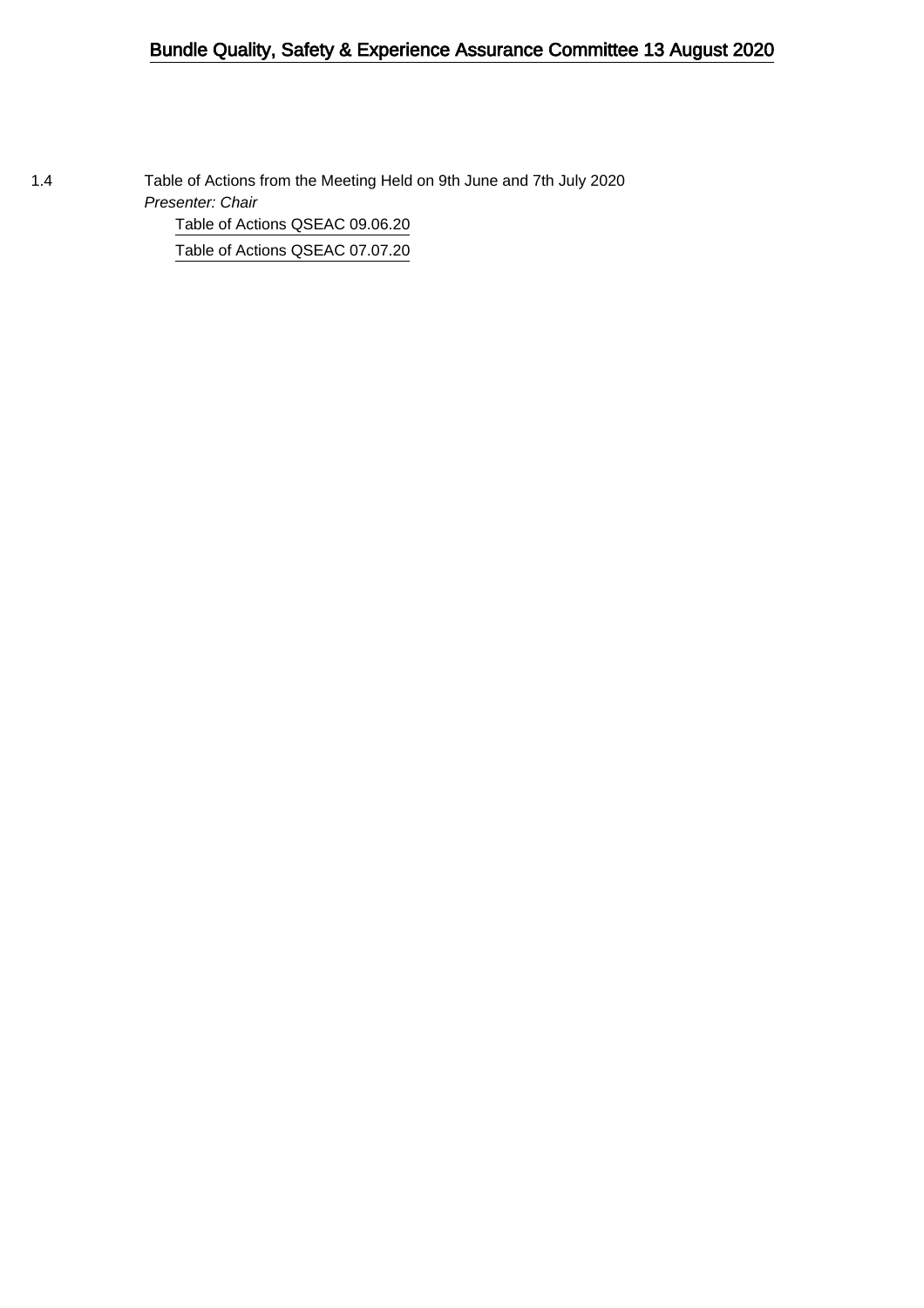## Bundle Quality, Safety & Experience Assurance Committee 13 August 2020

1.4 Table of Actions from the Meeting Held on 9th June and 7th July 2020 Presenter: Chair [Table of Actions QSEAC 09.06.20](#page-1-0) [Table of Actions QSEAC 07.07.20](#page-5-0)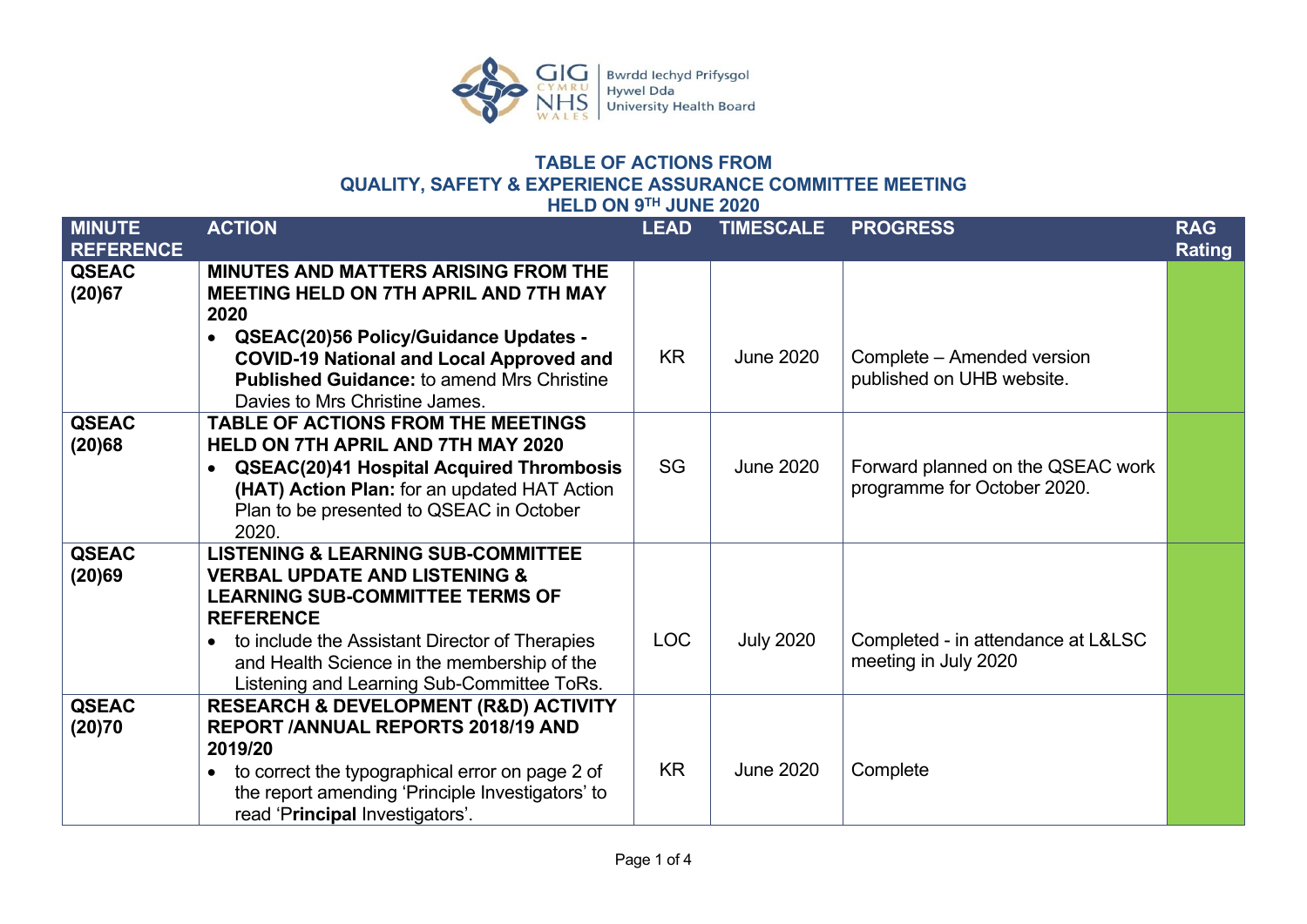

## **TABLE OF ACTIONS FROM QUALITY, SAFETY & EXPERIENCE ASSURANCE COMMITTEE MEETING HELD ON 9TH JUNE 2020**

<span id="page-1-0"></span>

| <b>MINUTE</b><br><b>REFERENCE</b> | <b>ACTION</b>                                                                                                                                                                                                                                                                                                       | <b>LEAD</b> | <b>TIMESCALE</b> | <b>PROGRESS</b>                                                  | <b>RAG</b><br><b>Rating</b> |
|-----------------------------------|---------------------------------------------------------------------------------------------------------------------------------------------------------------------------------------------------------------------------------------------------------------------------------------------------------------------|-------------|------------------|------------------------------------------------------------------|-----------------------------|
| <b>QSEAC</b><br>(20)67            | <b>MINUTES AND MATTERS ARISING FROM THE</b><br><b>MEETING HELD ON 7TH APRIL AND 7TH MAY</b><br>2020<br>QSEAC(20)56 Policy/Guidance Updates -<br>$\bullet$<br><b>COVID-19 National and Local Approved and</b><br><b>Published Guidance: to amend Mrs Christine</b><br>Davies to Mrs Christine James.                 | <b>KR</b>   | <b>June 2020</b> | Complete - Amended version<br>published on UHB website.          |                             |
| <b>QSEAC</b><br>(20)68            | <b>TABLE OF ACTIONS FROM THE MEETINGS</b><br><b>HELD ON 7TH APRIL AND 7TH MAY 2020</b><br><b>QSEAC(20)41 Hospital Acquired Thrombosis</b><br>$\bullet$<br>(HAT) Action Plan: for an updated HAT Action<br>Plan to be presented to QSEAC in October<br>2020.                                                         | SG          | <b>June 2020</b> | Forward planned on the QSEAC work<br>programme for October 2020. |                             |
| <b>QSEAC</b><br>(20)69            | <b>LISTENING &amp; LEARNING SUB-COMMITTEE</b><br><b>VERBAL UPDATE AND LISTENING &amp;</b><br><b>LEARNING SUB-COMMITTEE TERMS OF</b><br><b>REFERENCE</b><br>to include the Assistant Director of Therapies<br>$\bullet$<br>and Health Science in the membership of the<br>Listening and Learning Sub-Committee ToRs. | <b>LOC</b>  | <b>July 2020</b> | Completed - in attendance at L&LSC<br>meeting in July 2020       |                             |
| <b>QSEAC</b><br>(20)70            | <b>RESEARCH &amp; DEVELOPMENT (R&amp;D) ACTIVITY</b><br><b>REPORT/ANNUAL REPORTS 2018/19 AND</b><br>2019/20<br>to correct the typographical error on page 2 of<br>$\bullet$<br>the report amending 'Principle Investigators' to<br>read 'Principal Investigators'.                                                  | <b>KR</b>   | <b>June 2020</b> | Complete                                                         |                             |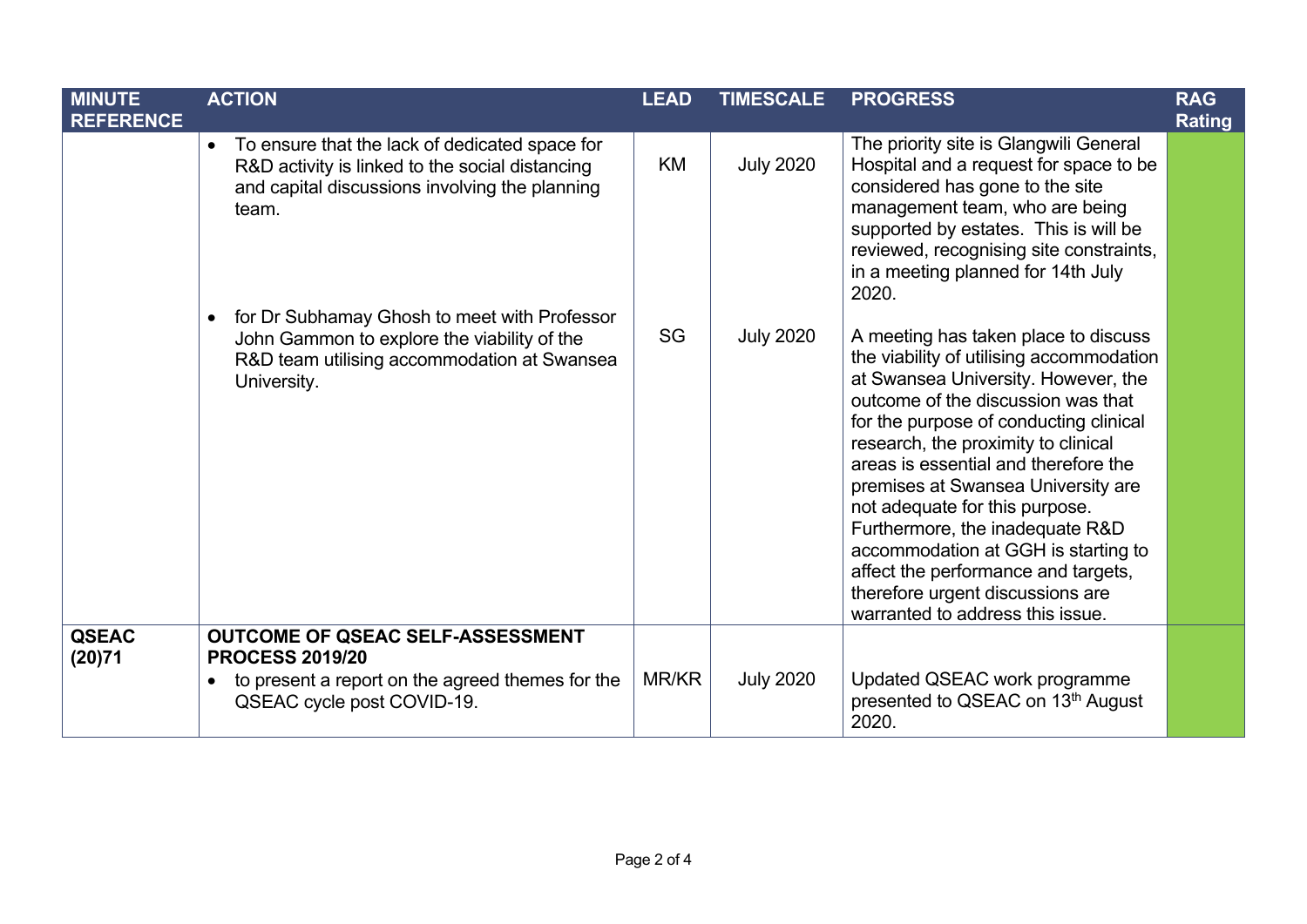| <b>MINUTE</b><br><b>REFERENCE</b> | <b>ACTION</b>                                                                                                                                                             | <b>LEAD</b> | <b>TIMESCALE</b> | <b>PROGRESS</b>                                                                                                                                                                                                                                                                                                                                                                                                                                                                                                                                         | <b>RAG</b><br>Rating |
|-----------------------------------|---------------------------------------------------------------------------------------------------------------------------------------------------------------------------|-------------|------------------|---------------------------------------------------------------------------------------------------------------------------------------------------------------------------------------------------------------------------------------------------------------------------------------------------------------------------------------------------------------------------------------------------------------------------------------------------------------------------------------------------------------------------------------------------------|----------------------|
|                                   | To ensure that the lack of dedicated space for<br>$\bullet$<br>R&D activity is linked to the social distancing<br>and capital discussions involving the planning<br>team. | <b>KM</b>   | <b>July 2020</b> | The priority site is Glangwili General<br>Hospital and a request for space to be<br>considered has gone to the site<br>management team, who are being<br>supported by estates. This is will be<br>reviewed, recognising site constraints,<br>in a meeting planned for 14th July<br>2020.                                                                                                                                                                                                                                                                |                      |
|                                   | for Dr Subhamay Ghosh to meet with Professor<br>$\bullet$<br>John Gammon to explore the viability of the<br>R&D team utilising accommodation at Swansea<br>University.    | SG          | <b>July 2020</b> | A meeting has taken place to discuss<br>the viability of utilising accommodation<br>at Swansea University. However, the<br>outcome of the discussion was that<br>for the purpose of conducting clinical<br>research, the proximity to clinical<br>areas is essential and therefore the<br>premises at Swansea University are<br>not adequate for this purpose.<br>Furthermore, the inadequate R&D<br>accommodation at GGH is starting to<br>affect the performance and targets,<br>therefore urgent discussions are<br>warranted to address this issue. |                      |
| <b>QSEAC</b><br>(20)71            | <b>OUTCOME OF QSEAC SELF-ASSESSMENT</b><br><b>PROCESS 2019/20</b><br>to present a report on the agreed themes for the<br>$\bullet$<br>QSEAC cycle post COVID-19.          | MR/KR       | <b>July 2020</b> | Updated QSEAC work programme<br>presented to QSEAC on 13th August<br>2020.                                                                                                                                                                                                                                                                                                                                                                                                                                                                              |                      |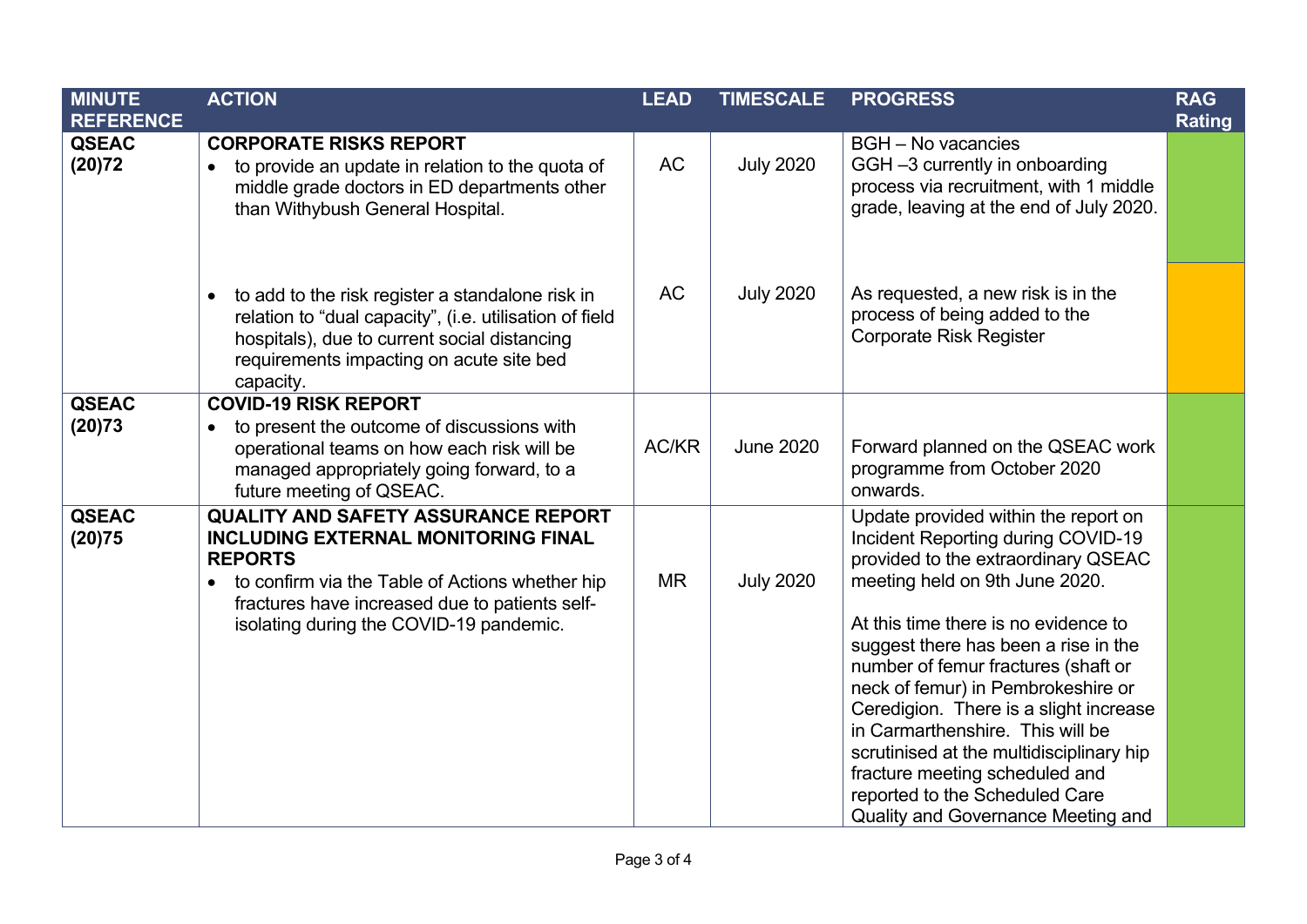| <b>MINUTE</b><br><b>REFERENCE</b> | <b>ACTION</b>                                                                                                                                                                                                                                                           | <b>LEAD</b> | <b>TIMESCALE</b> | <b>PROGRESS</b>                                                                                                                                                                                                                                                                                                                                                                                                                                                                                                                                      | <b>RAG</b><br>Rating |
|-----------------------------------|-------------------------------------------------------------------------------------------------------------------------------------------------------------------------------------------------------------------------------------------------------------------------|-------------|------------------|------------------------------------------------------------------------------------------------------------------------------------------------------------------------------------------------------------------------------------------------------------------------------------------------------------------------------------------------------------------------------------------------------------------------------------------------------------------------------------------------------------------------------------------------------|----------------------|
| <b>QSEAC</b><br>(20)72            | <b>CORPORATE RISKS REPORT</b><br>to provide an update in relation to the quota of<br>middle grade doctors in ED departments other<br>than Withybush General Hospital.                                                                                                   | <b>AC</b>   | <b>July 2020</b> | <b>BGH</b> - No vacancies<br>GGH-3 currently in onboarding<br>process via recruitment, with 1 middle<br>grade, leaving at the end of July 2020.                                                                                                                                                                                                                                                                                                                                                                                                      |                      |
|                                   | to add to the risk register a standalone risk in<br>$\bullet$<br>relation to "dual capacity", (i.e. utilisation of field<br>hospitals), due to current social distancing<br>requirements impacting on acute site bed<br>capacity.                                       | <b>AC</b>   | <b>July 2020</b> | As requested, a new risk is in the<br>process of being added to the<br><b>Corporate Risk Register</b>                                                                                                                                                                                                                                                                                                                                                                                                                                                |                      |
| <b>QSEAC</b><br>(20)73            | <b>COVID-19 RISK REPORT</b><br>to present the outcome of discussions with<br>$\bullet$<br>operational teams on how each risk will be<br>managed appropriately going forward, to a<br>future meeting of QSEAC.                                                           | AC/KR       | <b>June 2020</b> | Forward planned on the QSEAC work<br>programme from October 2020<br>onwards.                                                                                                                                                                                                                                                                                                                                                                                                                                                                         |                      |
| <b>QSEAC</b><br>(20)75            | <b>QUALITY AND SAFETY ASSURANCE REPORT</b><br><b>INCLUDING EXTERNAL MONITORING FINAL</b><br><b>REPORTS</b><br>to confirm via the Table of Actions whether hip<br>$\bullet$<br>fractures have increased due to patients self-<br>isolating during the COVID-19 pandemic. | <b>MR</b>   | <b>July 2020</b> | Update provided within the report on<br>Incident Reporting during COVID-19<br>provided to the extraordinary QSEAC<br>meeting held on 9th June 2020.<br>At this time there is no evidence to<br>suggest there has been a rise in the<br>number of femur fractures (shaft or<br>neck of femur) in Pembrokeshire or<br>Ceredigion. There is a slight increase<br>in Carmarthenshire. This will be<br>scrutinised at the multidisciplinary hip<br>fracture meeting scheduled and<br>reported to the Scheduled Care<br>Quality and Governance Meeting and |                      |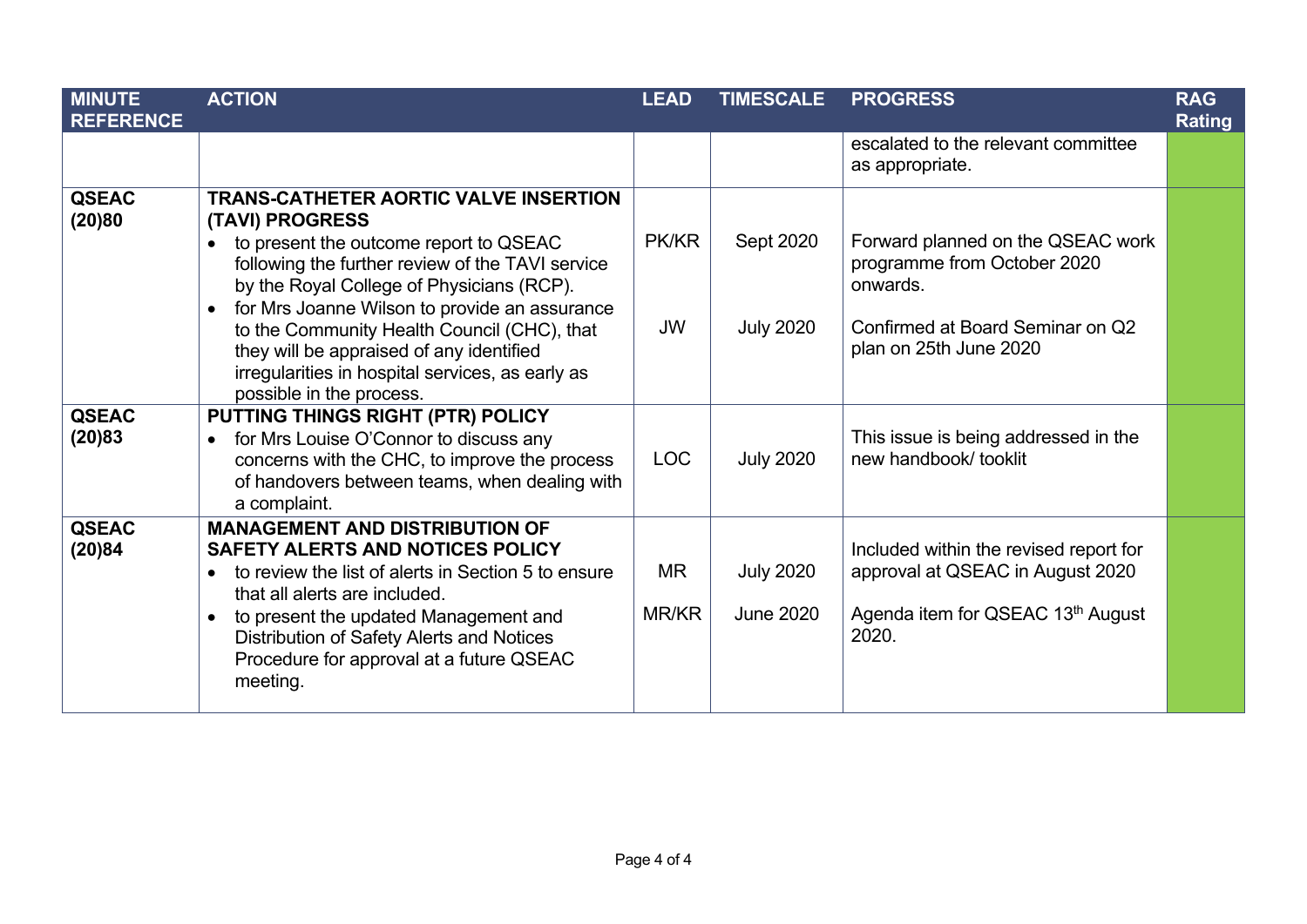| <b>MINUTE</b><br><b>REFERENCE</b> | <b>ACTION</b>                                                                                                                                                                                                                                                                                                                                                                                                                                       | <b>LEAD</b>        | <b>TIMESCALE</b>                     | <b>PROGRESS</b>                                                                                                                            | <b>RAG</b><br><b>Rating</b> |
|-----------------------------------|-----------------------------------------------------------------------------------------------------------------------------------------------------------------------------------------------------------------------------------------------------------------------------------------------------------------------------------------------------------------------------------------------------------------------------------------------------|--------------------|--------------------------------------|--------------------------------------------------------------------------------------------------------------------------------------------|-----------------------------|
|                                   |                                                                                                                                                                                                                                                                                                                                                                                                                                                     |                    |                                      | escalated to the relevant committee<br>as appropriate.                                                                                     |                             |
| <b>QSEAC</b><br>(20)80            | <b>TRANS-CATHETER AORTIC VALVE INSERTION</b><br>(TAVI) PROGRESS<br>to present the outcome report to QSEAC<br>following the further review of the TAVI service<br>by the Royal College of Physicians (RCP).<br>for Mrs Joanne Wilson to provide an assurance<br>$\bullet$<br>to the Community Health Council (CHC), that<br>they will be appraised of any identified<br>irregularities in hospital services, as early as<br>possible in the process. | PK/KR<br><b>JW</b> | Sept 2020<br><b>July 2020</b>        | Forward planned on the QSEAC work<br>programme from October 2020<br>onwards.<br>Confirmed at Board Seminar on Q2<br>plan on 25th June 2020 |                             |
| <b>QSEAC</b><br>(20)83            | PUTTING THINGS RIGHT (PTR) POLICY<br>for Mrs Louise O'Connor to discuss any<br>$\bullet$<br>concerns with the CHC, to improve the process<br>of handovers between teams, when dealing with<br>a complaint.                                                                                                                                                                                                                                          | <b>LOC</b>         | <b>July 2020</b>                     | This issue is being addressed in the<br>new handbook/ tooklit                                                                              |                             |
| <b>QSEAC</b><br>(20)84            | <b>MANAGEMENT AND DISTRIBUTION OF</b><br>SAFETY ALERTS AND NOTICES POLICY<br>to review the list of alerts in Section 5 to ensure<br>$\bullet$<br>that all alerts are included.<br>to present the updated Management and<br>$\bullet$<br>Distribution of Safety Alerts and Notices<br>Procedure for approval at a future QSEAC<br>meeting.                                                                                                           | <b>MR</b><br>MR/KR | <b>July 2020</b><br><b>June 2020</b> | Included within the revised report for<br>approval at QSEAC in August 2020<br>Agenda item for QSEAC 13th August<br>2020.                   |                             |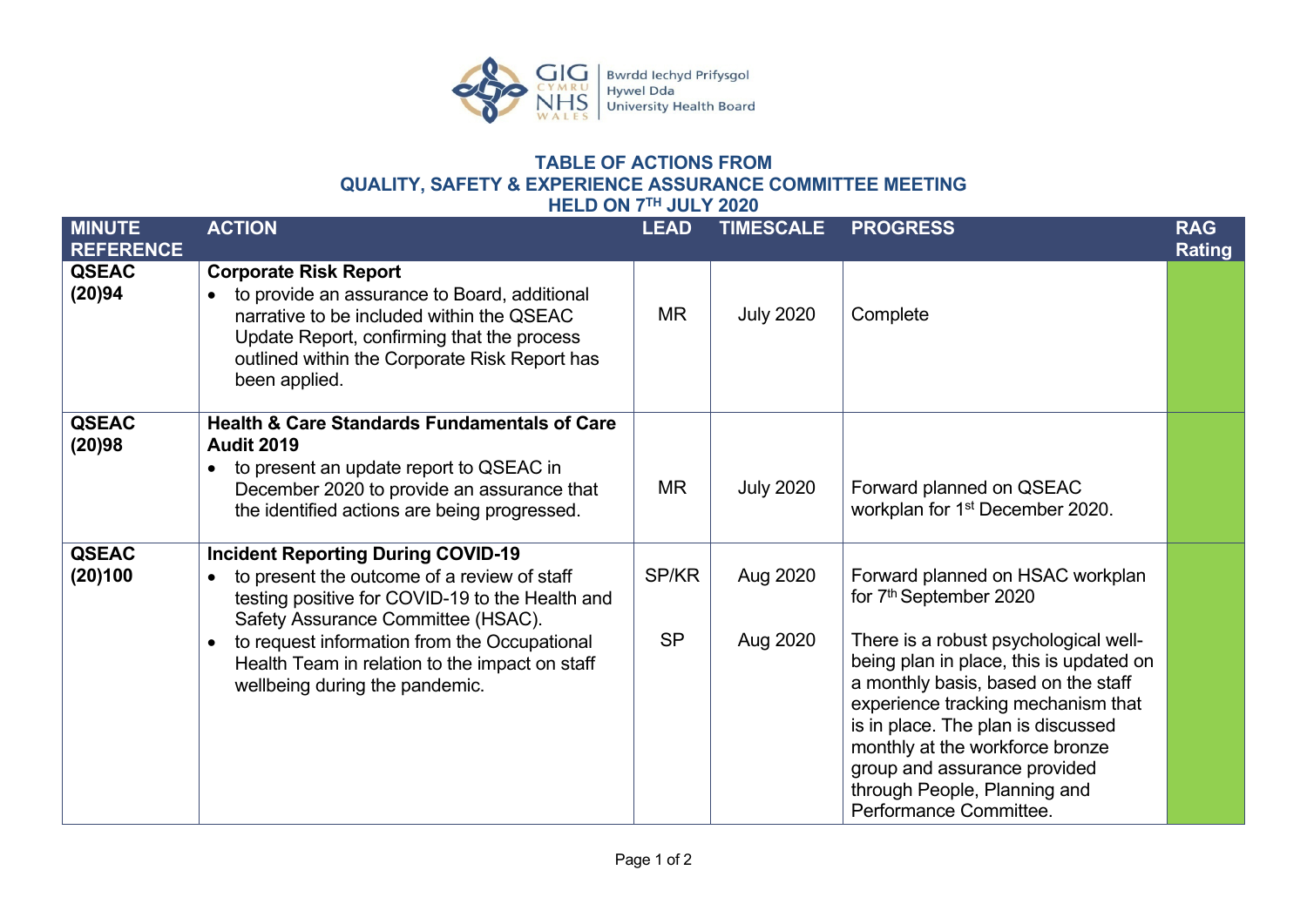

## **TABLE OF ACTIONS FROM QUALITY, SAFETY & EXPERIENCE ASSURANCE COMMITTEE MEETING HELD ON 7TH JULY 2020**

<span id="page-5-0"></span>

| <b>MINUTE</b><br><b>REFERENCE</b> | <b>ACTION</b>                                                                                                                                                                                                                                                                                                                                   | <b>LEAD</b>        | <b>TIMESCALE</b>     | <b>PROGRESS</b>                                                                                                                                                                                                                                                                                                                                                                                            | <b>RAG</b><br><b>Rating</b> |
|-----------------------------------|-------------------------------------------------------------------------------------------------------------------------------------------------------------------------------------------------------------------------------------------------------------------------------------------------------------------------------------------------|--------------------|----------------------|------------------------------------------------------------------------------------------------------------------------------------------------------------------------------------------------------------------------------------------------------------------------------------------------------------------------------------------------------------------------------------------------------------|-----------------------------|
| <b>QSEAC</b><br>(20)94            | <b>Corporate Risk Report</b><br>to provide an assurance to Board, additional<br>$\bullet$<br>narrative to be included within the QSEAC<br>Update Report, confirming that the process<br>outlined within the Corporate Risk Report has<br>been applied.                                                                                          | <b>MR</b>          | <b>July 2020</b>     | Complete                                                                                                                                                                                                                                                                                                                                                                                                   |                             |
| <b>QSEAC</b><br>(20)98            | <b>Health &amp; Care Standards Fundamentals of Care</b><br><b>Audit 2019</b><br>to present an update report to QSEAC in<br>$\bullet$<br>December 2020 to provide an assurance that<br>the identified actions are being progressed.                                                                                                              | <b>MR</b>          | <b>July 2020</b>     | Forward planned on QSEAC<br>workplan for 1 <sup>st</sup> December 2020.                                                                                                                                                                                                                                                                                                                                    |                             |
| <b>QSEAC</b><br>(20)100           | <b>Incident Reporting During COVID-19</b><br>to present the outcome of a review of staff<br>$\bullet$<br>testing positive for COVID-19 to the Health and<br>Safety Assurance Committee (HSAC).<br>to request information from the Occupational<br>$\bullet$<br>Health Team in relation to the impact on staff<br>wellbeing during the pandemic. | SP/KR<br><b>SP</b> | Aug 2020<br>Aug 2020 | Forward planned on HSAC workplan<br>for 7 <sup>th</sup> September 2020<br>There is a robust psychological well-<br>being plan in place, this is updated on<br>a monthly basis, based on the staff<br>experience tracking mechanism that<br>is in place. The plan is discussed<br>monthly at the workforce bronze<br>group and assurance provided<br>through People, Planning and<br>Performance Committee. |                             |